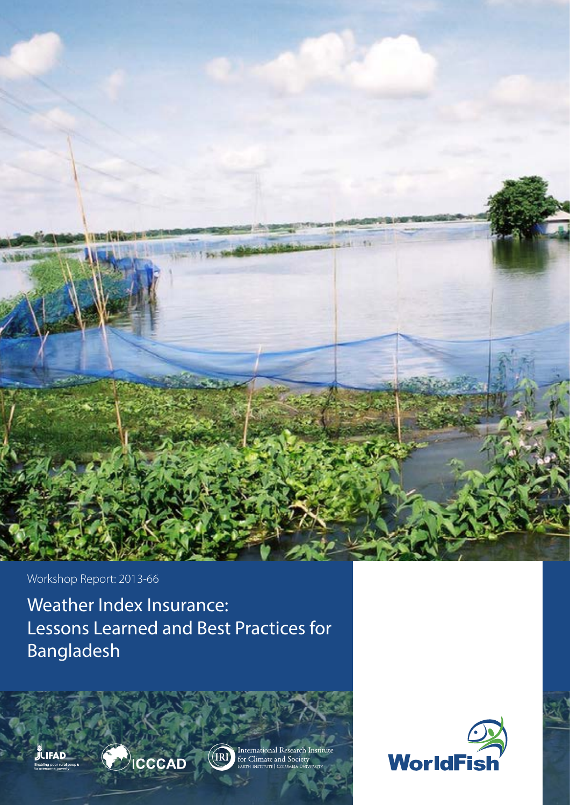

Workshop Report: 2013-66

Weather Index Insurance: Lessons Learned and Best Practices for Bangladesh









 $(IRI)$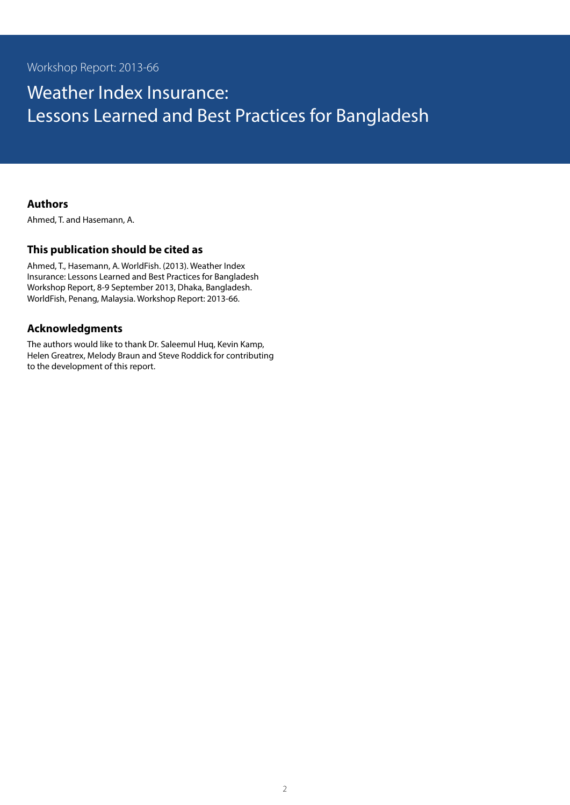# Weather Index Insurance: Lessons Learned and Best Practices for Bangladesh

#### **Authors**

Ahmed, T. and Hasemann, A.

### **This publication should be cited as**

Ahmed, T., Hasemann, A. WorldFish. (2013). Weather Index Insurance: Lessons Learned and Best Practices for Bangladesh Workshop Report, 8-9 September 2013, Dhaka, Bangladesh. WorldFish, Penang, Malaysia. Workshop Report: 2013-66.

### **Acknowledgments**

The authors would like to thank Dr. Saleemul Huq, Kevin Kamp, Helen Greatrex, Melody Braun and Steve Roddick for contributing to the development of this report.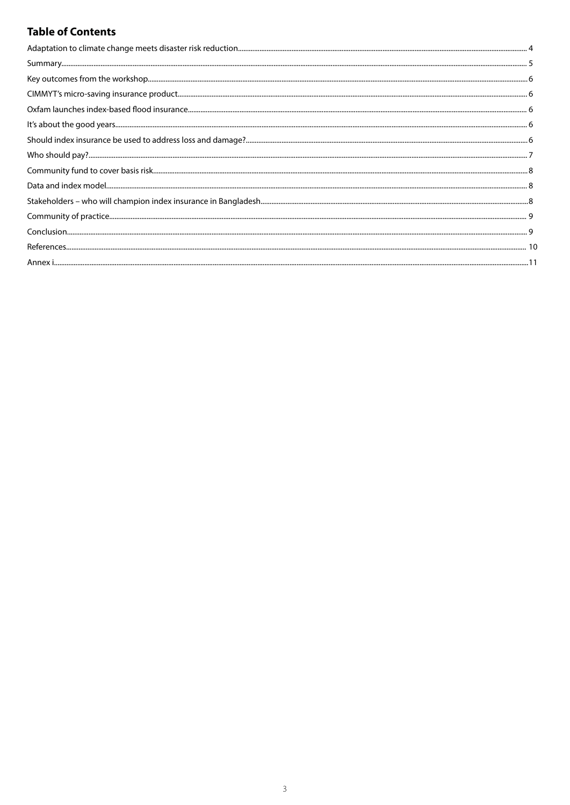# **Table of Contents**

| $\textbf{Who should pay?}\textcolor{red}{\textbf{}}\textcolor{red}{\textbf{}}\textcolor{red}{\textbf{}}\textcolor{red}{\textbf{}}\textcolor{red}{\textbf{}}\textcolor{red}{\textbf{}}\textcolor{red}{\textbf{}}\textcolor{red}{\textbf{}}\textcolor{red}{\textbf{}}\textcolor{red}{\textbf{}}\textcolor{red}{\textbf{}}\textcolor{red}{\textbf{}}\textcolor{red}{\textbf{}}\textcolor{red}{\textbf{}}\textcolor{red}{\textbf{}}\textcolor{red}{\textbf{}}\textcolor{red}{\textbf{}}\textcolor{red}{\text$ |  |
|-----------------------------------------------------------------------------------------------------------------------------------------------------------------------------------------------------------------------------------------------------------------------------------------------------------------------------------------------------------------------------------------------------------------------------------------------------------------------------------------------------------|--|
|                                                                                                                                                                                                                                                                                                                                                                                                                                                                                                           |  |
|                                                                                                                                                                                                                                                                                                                                                                                                                                                                                                           |  |
|                                                                                                                                                                                                                                                                                                                                                                                                                                                                                                           |  |
|                                                                                                                                                                                                                                                                                                                                                                                                                                                                                                           |  |
|                                                                                                                                                                                                                                                                                                                                                                                                                                                                                                           |  |
|                                                                                                                                                                                                                                                                                                                                                                                                                                                                                                           |  |
|                                                                                                                                                                                                                                                                                                                                                                                                                                                                                                           |  |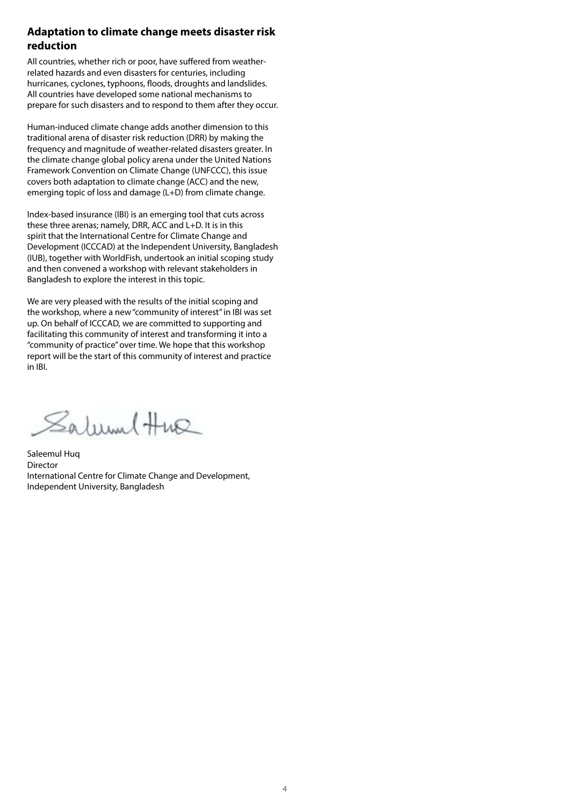#### **Adaptation to climate change meets disaster risk reduction**

All countries, whether rich or poor, have suffered from weatherrelated hazards and even disasters for centuries, including hurricanes, cyclones, typhoons, floods, droughts and landslides. All countries have developed some national mechanisms to prepare for such disasters and to respond to them after they occur.

Human-induced climate change adds another dimension to this traditional arena of disaster risk reduction (DRR) by making the frequency and magnitude of weather-related disasters greater. In the climate change global policy arena under the United Nations Framework Convention on Climate Change (UNFCCC), this issue covers both adaptation to climate change (ACC) and the new, emerging topic of loss and damage (L+D) from climate change.

Index-based insurance (IBI) is an emerging tool that cuts across these three arenas; namely, DRR, ACC and L+D. It is in this spirit that the International Centre for Climate Change and Development (ICCCAD) at the Independent University, Bangladesh (IUB), together with WorldFish, undertook an initial scoping study and then convened a workshop with relevant stakeholders in Bangladesh to explore the interest in this topic.

We are very pleased with the results of the initial scoping and the workshop, where a new "community of interest" in IBI was set up. On behalf of ICCCAD, we are committed to supporting and facilitating this community of interest and transforming it into a "community of practice" over time. We hope that this workshop report will be the start of this community of interest and practice in IBI.

Salum Hue

Saleemul Huq Director International Centre for Climate Change and Development, Independent University, Bangladesh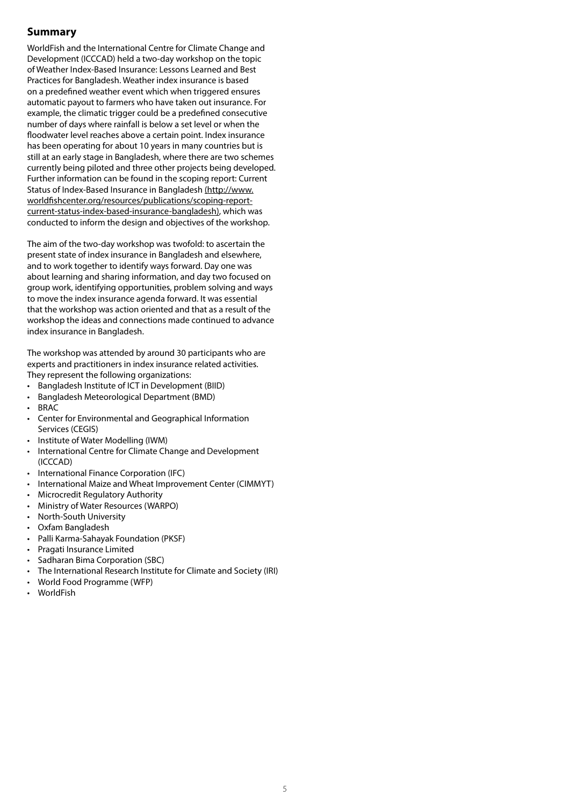### **Summary**

WorldFish and the International Centre for Climate Change and Development (ICCCAD) held a two-day workshop on the topic of Weather Index-Based Insurance: Lessons Learned and Best Practices for Bangladesh. Weather index insurance is based on a predefined weather event which when triggered ensures automatic payout to farmers who have taken out insurance. For example, the climatic trigger could be a predefined consecutive number of days where rainfall is below a set level or when the floodwater level reaches above a certain point. Index insurance has been operating for about 10 years in many countries but is still at an early stage in Bangladesh, where there are two schemes currently being piloted and three other projects being developed. Further information can be found in the scoping report: Current Status of Index-Based Insurance in Bangladesh (http://www. worldfishcenter.org/resources/publications/scoping-reportcurrent-status-index-based-insurance-bangladesh), which was conducted to inform the design and objectives of the workshop.

The aim of the two-day workshop was twofold: to ascertain the present state of index insurance in Bangladesh and elsewhere, and to work together to identify ways forward. Day one was about learning and sharing information, and day two focused on group work, identifying opportunities, problem solving and ways to move the index insurance agenda forward. It was essential that the workshop was action oriented and that as a result of the workshop the ideas and connections made continued to advance index insurance in Bangladesh.

The workshop was attended by around 30 participants who are experts and practitioners in index insurance related activities. They represent the following organizations:

- Bangladesh Institute of ICT in Development (BIID)
- Bangladesh Meteorological Department (BMD)
- **BRAC**
- Center for Environmental and Geographical Information Services (CEGIS)
- Institute of Water Modelling (IWM)
- • International Centre for Climate Change and Development (ICCCAD)
- • International Finance Corporation (IFC)
- International Maize and Wheat Improvement Center (CIMMYT)
- • Microcredit Regulatory Authority
- • Ministry of Water Resources (WARPO)
- • North-South University
- • Oxfam Bangladesh
- • Palli Karma-Sahayak Foundation (PKSF)
- • Pragati Insurance Limited
- Sadharan Bima Corporation (SBC)
- The International Research Institute for Climate and Society (IRI)
- World Food Programme (WFP)
- • WorldFish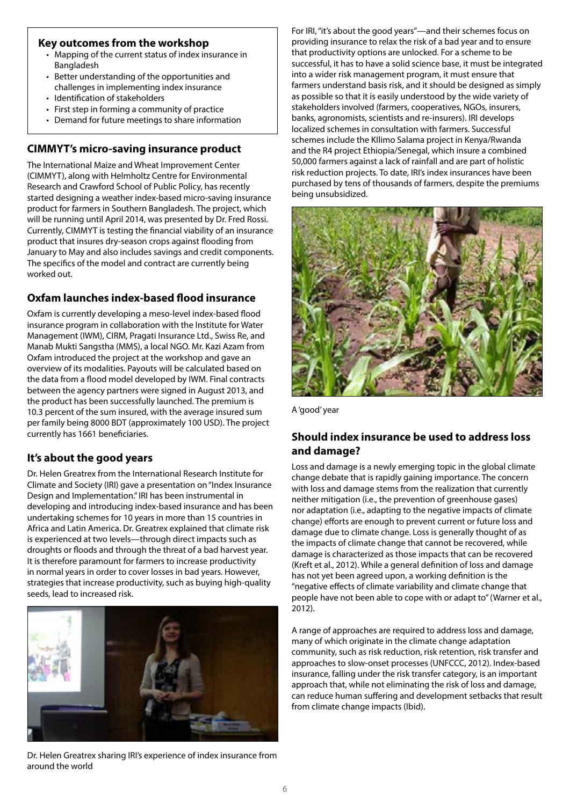#### **Key outcomes from the workshop**

- Mapping of the current status of index insurance in Bangladesh
- Better understanding of the opportunities and challenges in implementing index insurance
- • Identification of stakeholders
- First step in forming a community of practice
- Demand for future meetings to share information

# **CIMMYT's micro-saving insurance product**

The International Maize and Wheat Improvement Center (CIMMYT), along with Helmholtz Centre for Environmental Research and Crawford School of Public Policy, has recently started designing a weather index-based micro-saving insurance product for farmers in Southern Bangladesh. The project, which will be running until April 2014, was presented by Dr. Fred Rossi. Currently, CIMMYT is testing the financial viability of an insurance product that insures dry-season crops against flooding from January to May and also includes savings and credit components. The specifics of the model and contract are currently being worked out.

## **Oxfam launches index-based flood insurance**

Oxfam is currently developing a meso-level index-based flood insurance program in collaboration with the Institute for Water Management (IWM), CIRM, Pragati Insurance Ltd., Swiss Re, and Manab Mukti Sangstha (MMS), a local NGO. Mr. Kazi Azam from Oxfam introduced the project at the workshop and gave an overview of its modalities. Payouts will be calculated based on the data from a flood model developed by IWM. Final contracts between the agency partners were signed in August 2013, and the product has been successfully launched. The premium is 10.3 percent of the sum insured, with the average insured sum per family being 8000 BDT (approximately 100 USD). The project currently has 1661 beneficiaries.

## **It's about the good years**

Dr. Helen Greatrex from the International Research Institute for Climate and Society (IRI) gave a presentation on "Index Insurance Design and Implementation." IRI has been instrumental in developing and introducing index-based insurance and has been undertaking schemes for 10 years in more than 15 countries in Africa and Latin America. Dr. Greatrex explained that climate risk is experienced at two levels—through direct impacts such as droughts or floods and through the threat of a bad harvest year. It is therefore paramount for farmers to increase productivity in normal years in order to cover losses in bad years. However, strategies that increase productivity, such as buying high-quality seeds, lead to increased risk.



Dr. Helen Greatrex sharing IRI's experience of index insurance from around the world

For IRI, "it's about the good years"—and their schemes focus on providing insurance to relax the risk of a bad year and to ensure that productivity options are unlocked. For a scheme to be successful, it has to have a solid science base, it must be integrated into a wider risk management program, it must ensure that farmers understand basis risk, and it should be designed as simply as possible so that it is easily understood by the wide variety of stakeholders involved (farmers, cooperatives, NGOs, insurers, banks, agronomists, scientists and re-insurers). IRI develops localized schemes in consultation with farmers. Successful schemes include the KIlimo Salama project in Kenya/Rwanda and the R4 project Ethiopia/Senegal, which insure a combined 50,000 farmers against a lack of rainfall and are part of holistic risk reduction projects. To date, IRI's index insurances have been purchased by tens of thousands of farmers, despite the premiums being unsubsidized.



A 'good' year

### **Should index insurance be used to address loss and damage?**

Loss and damage is a newly emerging topic in the global climate change debate that is rapidly gaining importance. The concern with loss and damage stems from the realization that currently neither mitigation (i.e., the prevention of greenhouse gases) nor adaptation (i.e., adapting to the negative impacts of climate change) efforts are enough to prevent current or future loss and damage due to climate change. Loss is generally thought of as the impacts of climate change that cannot be recovered, while damage is characterized as those impacts that can be recovered (Kreft et al., 2012). While a general definition of loss and damage has not yet been agreed upon, a working definition is the "negative effects of climate variability and climate change that people have not been able to cope with or adapt to" (Warner et al., 2012).

A range of approaches are required to address loss and damage, many of which originate in the climate change adaptation community, such as risk reduction, risk retention, risk transfer and approaches to slow-onset processes (UNFCCC, 2012). Index-based insurance, falling under the risk transfer category, is an important approach that, while not eliminating the risk of loss and damage, can reduce human suffering and development setbacks that result from climate change impacts (Ibid).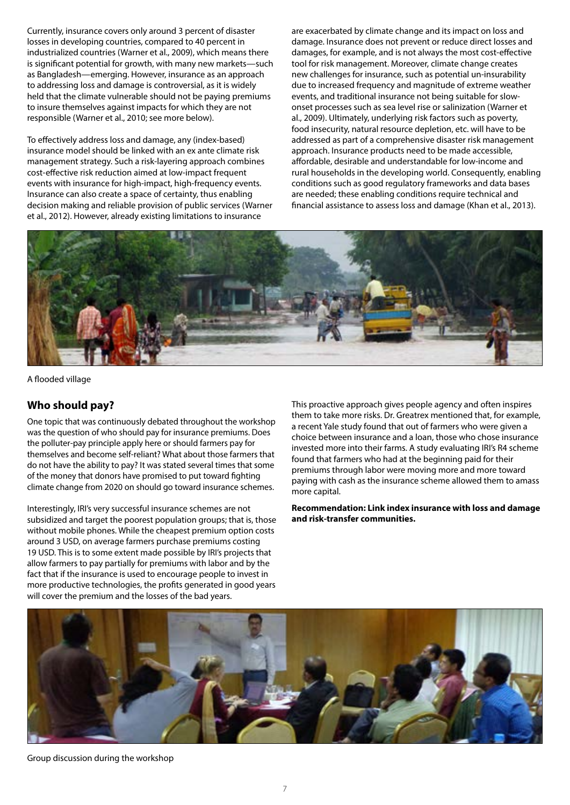Currently, insurance covers only around 3 percent of disaster losses in developing countries, compared to 40 percent in industrialized countries (Warner et al., 2009), which means there is significant potential for growth, with many new markets—such as Bangladesh—emerging. However, insurance as an approach to addressing loss and damage is controversial, as it is widely held that the climate vulnerable should not be paying premiums to insure themselves against impacts for which they are not responsible (Warner et al., 2010; see more below).

To effectively address loss and damage, any (index-based) insurance model should be linked with an ex ante climate risk management strategy. Such a risk-layering approach combines cost-effective risk reduction aimed at low-impact frequent events with insurance for high-impact, high-frequency events. Insurance can also create a space of certainty, thus enabling decision making and reliable provision of public services (Warner et al., 2012). However, already existing limitations to insurance

are exacerbated by climate change and its impact on loss and damage. Insurance does not prevent or reduce direct losses and damages, for example, and is not always the most cost-effective tool for risk management. Moreover, climate change creates new challenges for insurance, such as potential un-insurability due to increased frequency and magnitude of extreme weather events, and traditional insurance not being suitable for slowonset processes such as sea level rise or salinization (Warner et al., 2009). Ultimately, underlying risk factors such as poverty, food insecurity, natural resource depletion, etc. will have to be addressed as part of a comprehensive disaster risk management approach. Insurance products need to be made accessible, affordable, desirable and understandable for low-income and rural households in the developing world. Consequently, enabling conditions such as good regulatory frameworks and data bases are needed; these enabling conditions require technical and financial assistance to assess loss and damage (Khan et al., 2013).



A flooded village

#### **Who should pay?**

One topic that was continuously debated throughout the workshop was the question of who should pay for insurance premiums. Does the polluter-pay principle apply here or should farmers pay for themselves and become self-reliant? What about those farmers that do not have the ability to pay? It was stated several times that some of the money that donors have promised to put toward fighting climate change from 2020 on should go toward insurance schemes.

Interestingly, IRI's very successful insurance schemes are not subsidized and target the poorest population groups; that is, those without mobile phones. While the cheapest premium option costs around 3 USD, on average farmers purchase premiums costing 19 USD. This is to some extent made possible by IRI's projects that allow farmers to pay partially for premiums with labor and by the fact that if the insurance is used to encourage people to invest in more productive technologies, the profits generated in good years will cover the premium and the losses of the bad years.

This proactive approach gives people agency and often inspires them to take more risks. Dr. Greatrex mentioned that, for example, a recent Yale study found that out of farmers who were given a choice between insurance and a loan, those who chose insurance invested more into their farms. A study evaluating IRI's R4 scheme found that farmers who had at the beginning paid for their premiums through labor were moving more and more toward paying with cash as the insurance scheme allowed them to amass more capital.

**Recommendation: Link index insurance with loss and damage and risk-transfer communities.**



Group discussion during the workshop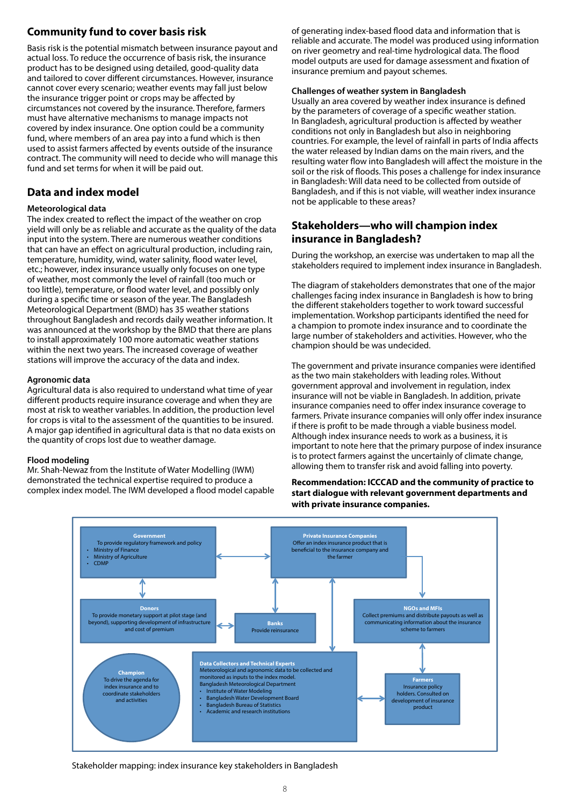### **Community fund to cover basis risk**

Basis risk is the potential mismatch between insurance payout and actual loss. To reduce the occurrence of basis risk, the insurance product has to be designed using detailed, good-quality data and tailored to cover different circumstances. However, insurance cannot cover every scenario; weather events may fall just below the insurance trigger point or crops may be affected by circumstances not covered by the insurance. Therefore, farmers must have alternative mechanisms to manage impacts not covered by index insurance. One option could be a community fund, where members of an area pay into a fund which is then used to assist farmers affected by events outside of the insurance contract. The community will need to decide who will manage this fund and set terms for when it will be paid out.

### **Data and index model**

#### **Meteorological data**

The index created to reflect the impact of the weather on crop yield will only be as reliable and accurate as the quality of the data input into the system. There are numerous weather conditions that can have an effect on agricultural production, including rain, temperature, humidity, wind, water salinity, flood water level, etc.; however, index insurance usually only focuses on one type of weather, most commonly the level of rainfall (too much or too little), temperature, or flood water level, and possibly only during a specific time or season of the year. The Bangladesh Meteorological Department (BMD) has 35 weather stations throughout Bangladesh and records daily weather information. It was announced at the workshop by the BMD that there are plans to install approximately 100 more automatic weather stations within the next two years. The increased coverage of weather stations will improve the accuracy of the data and index.

#### **Agronomic data**

Agricultural data is also required to understand what time of year different products require insurance coverage and when they are most at risk to weather variables. In addition, the production level for crops is vital to the assessment of the quantities to be insured. A major gap identified in agricultural data is that no data exists on the quantity of crops lost due to weather damage.

#### **Flood modeling**

Mr. Shah-Newaz from the Institute of Water Modelling (IWM) demonstrated the technical expertise required to produce a complex index model. The IWM developed a flood model capable

of generating index-based flood data and information that is reliable and accurate. The model was produced using information on river geometry and real-time hydrological data. The flood model outputs are used for damage assessment and fixation of insurance premium and payout schemes.

#### **Challenges of weather system in Bangladesh**

Usually an area covered by weather index insurance is defined by the parameters of coverage of a specific weather station. In Bangladesh, agricultural production is affected by weather conditions not only in Bangladesh but also in neighboring countries. For example, the level of rainfall in parts of India affects the water released by Indian dams on the main rivers, and the resulting water flow into Bangladesh will affect the moisture in the soil or the risk of floods. This poses a challenge for index insurance in Bangladesh: Will data need to be collected from outside of Bangladesh, and if this is not viable, will weather index insurance not be applicable to these areas?

### **Stakeholders—who will champion index insurance in Bangladesh?**

During the workshop, an exercise was undertaken to map all the stakeholders required to implement index insurance in Bangladesh.

The diagram of stakeholders demonstrates that one of the major challenges facing index insurance in Bangladesh is how to bring the different stakeholders together to work toward successful implementation. Workshop participants identified the need for a champion to promote index insurance and to coordinate the large number of stakeholders and activities. However, who the champion should be was undecided.

The government and private insurance companies were identified as the two main stakeholders with leading roles. Without government approval and involvement in regulation, index insurance will not be viable in Bangladesh. In addition, private insurance companies need to offer index insurance coverage to farmers. Private insurance companies will only offer index insurance if there is profit to be made through a viable business model. Although index insurance needs to work as a business, it is important to note here that the primary purpose of index insurance is to protect farmers against the uncertainly of climate change, allowing them to transfer risk and avoid falling into poverty.

**Recommendation: ICCCAD and the community of practice to start dialogue with relevant government departments and with private insurance companies.**



Stakeholder mapping: index insurance key stakeholders in Bangladesh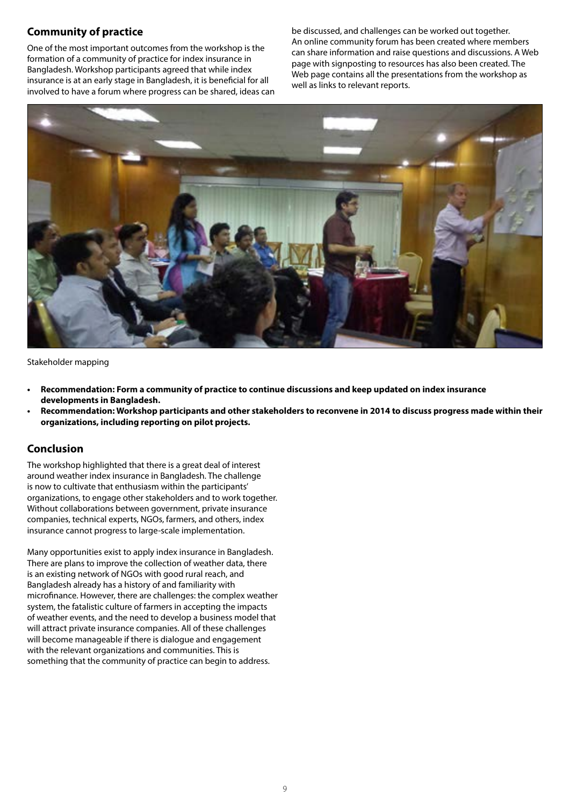### **Community of practice**

One of the most important outcomes from the workshop is the formation of a community of practice for index insurance in Bangladesh. Workshop participants agreed that while index insurance is at an early stage in Bangladesh, it is beneficial for all involved to have a forum where progress can be shared, ideas can be discussed, and challenges can be worked out together. An online community forum has been created where members can share information and raise questions and discussions. A Web page with signposting to resources has also been created. The Web page contains all the presentations from the workshop as well as links to relevant reports.



Stakeholder mapping

- **• Recommendation: Form a community of practice to continue discussions and keep updated on index insurance developments in Bangladesh.**
- **• Recommendation: Workshop participants and other stakeholders to reconvene in 2014 to discuss progress made within their organizations, including reporting on pilot projects.**

#### **Conclusion**

The workshop highlighted that there is a great deal of interest around weather index insurance in Bangladesh. The challenge is now to cultivate that enthusiasm within the participants' organizations, to engage other stakeholders and to work together. Without collaborations between government, private insurance companies, technical experts, NGOs, farmers, and others, index insurance cannot progress to large-scale implementation.

Many opportunities exist to apply index insurance in Bangladesh. There are plans to improve the collection of weather data, there is an existing network of NGOs with good rural reach, and Bangladesh already has a history of and familiarity with microfinance. However, there are challenges: the complex weather system, the fatalistic culture of farmers in accepting the impacts of weather events, and the need to develop a business model that will attract private insurance companies. All of these challenges will become manageable if there is dialogue and engagement with the relevant organizations and communities. This is something that the community of practice can begin to address.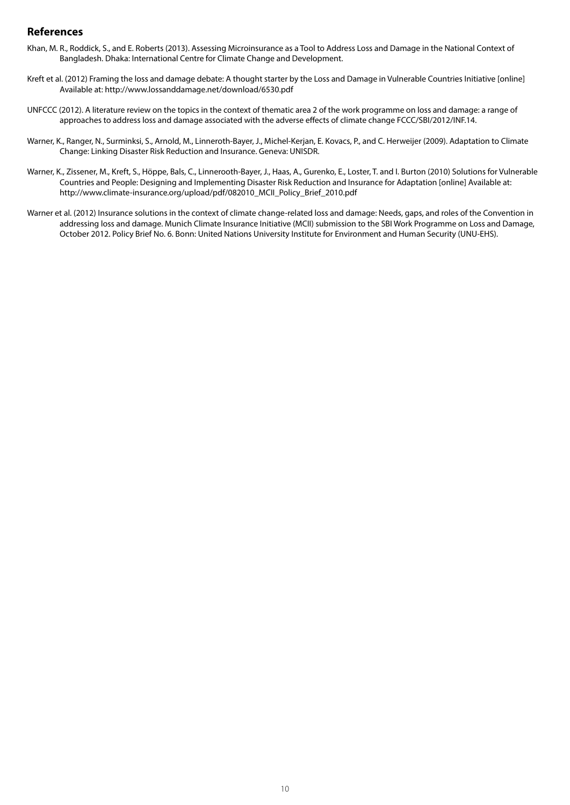#### **References**

- Khan, M. R., Roddick, S., and E. Roberts (2013). Assessing Microinsurance as a Tool to Address Loss and Damage in the National Context of Bangladesh. Dhaka: International Centre for Climate Change and Development.
- Kreft et al. (2012) Framing the loss and damage debate: A thought starter by the Loss and Damage in Vulnerable Countries Initiative [online] Available at: http://www.lossanddamage.net/download/6530.pdf
- UNFCCC (2012). A literature review on the topics in the context of thematic area 2 of the work programme on loss and damage: a range of approaches to address loss and damage associated with the adverse effects of climate change FCCC/SBI/2012/INF.14.
- Warner, K., Ranger, N., Surminksi, S., Arnold, M., Linneroth-Bayer, J., Michel-Kerjan, E. Kovacs, P., and C. Herweijer (2009). Adaptation to Climate Change: Linking Disaster Risk Reduction and Insurance. Geneva: UNISDR.
- Warner, K., Zissener, M., Kreft, S., Höppe, Bals, C., Linnerooth-Bayer, J., Haas, A., Gurenko, E., Loster, T. and I. Burton (2010) Solutions for Vulnerable Countries and People: Designing and Implementing Disaster Risk Reduction and Insurance for Adaptation [online] Available at: http://www.climate-insurance.org/upload/pdf/082010\_MCII\_Policy\_Brief\_2010.pdf
- Warner et al. (2012) Insurance solutions in the context of climate change-related loss and damage: Needs, gaps, and roles of the Convention in addressing loss and damage. Munich Climate Insurance Initiative (MCII) submission to the SBI Work Programme on Loss and Damage, October 2012. Policy Brief No. 6. Bonn: United Nations University Institute for Environment and Human Security (UNU-EHS).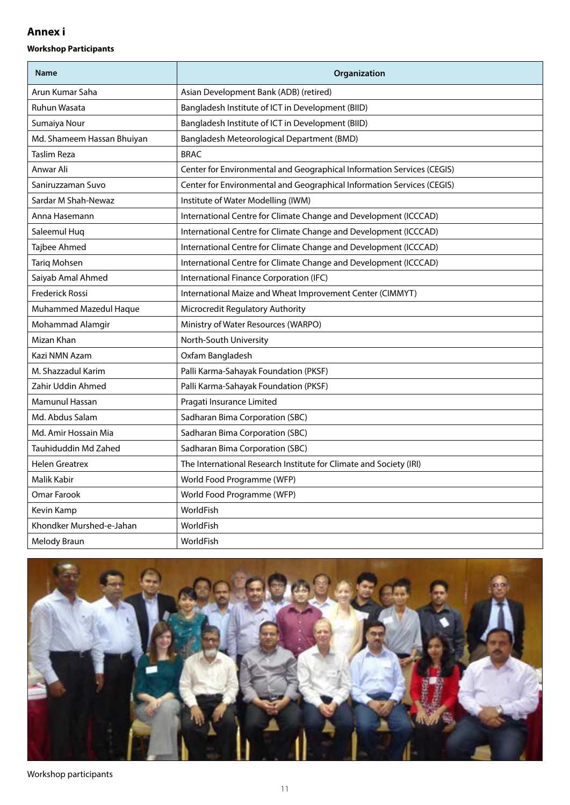### **Annex i**

#### **Workshop Participants**

| <b>Name</b>                | Organization                                                           |
|----------------------------|------------------------------------------------------------------------|
| Arun Kumar Saha            | Asian Development Bank (ADB) (retired)                                 |
| <b>Ruhun Wasata</b>        | Bangladesh Institute of ICT in Development (BIID)                      |
| Sumaiya Nour               | Bangladesh Institute of ICT in Development (BIID)                      |
| Md. Shameem Hassan Bhuiyan | Bangladesh Meteorological Department (BMD)                             |
| <b>Taslim Reza</b>         | <b>BRAC</b>                                                            |
| Anwar Ali                  | Center for Environmental and Geographical Information Services (CEGIS) |
| Saniruzzaman Suvo          | Center for Environmental and Geographical Information Services (CEGIS) |
| Sardar M Shah-Newaz        | Institute of Water Modelling (IWM)                                     |
| Anna Hasemann              | International Centre for Climate Change and Development (ICCCAD)       |
| Saleemul Hug               | International Centre for Climate Change and Development (ICCCAD)       |
| Tajbee Ahmed               | International Centre for Climate Change and Development (ICCCAD)       |
| Tariq Mohsen               | International Centre for Climate Change and Development (ICCCAD)       |
| Saiyab Amal Ahmed          | International Finance Corporation (IFC)                                |
| <b>Frederick Rossi</b>     | International Maize and Wheat Improvement Center (CIMMYT)              |
| Muhammed Mazedul Haque     | Microcredit Regulatory Authority                                       |
| Mohammad Alamgir           | Ministry of Water Resources (WARPO)                                    |
| Mizan Khan                 | North-South University                                                 |
| Kazi NMN Azam              | Oxfam Bangladesh                                                       |
| M. Shazzadul Karim         | Palli Karma-Sahayak Foundation (PKSF)                                  |
| Zahir Uddin Ahmed          | Palli Karma-Sahayak Foundation (PKSF)                                  |
| Mamunul Hassan             | Pragati Insurance Limited                                              |
| Md. Abdus Salam            | Sadharan Bima Corporation (SBC)                                        |
| Md. Amir Hossain Mia       | Sadharan Bima Corporation (SBC)                                        |
| Tauhiduddin Md Zahed       | Sadharan Bima Corporation (SBC)                                        |
| <b>Helen Greatrex</b>      | The International Research Institute for Climate and Society (IRI)     |
| Malik Kabir                | World Food Programme (WFP)                                             |
| Omar Farook                | World Food Programme (WFP)                                             |
| Kevin Kamp                 | WorldFish                                                              |
| Khondker Murshed-e-Jahan   | WorldFish                                                              |
| Melody Braun               | WorldFish                                                              |



Workshop participants